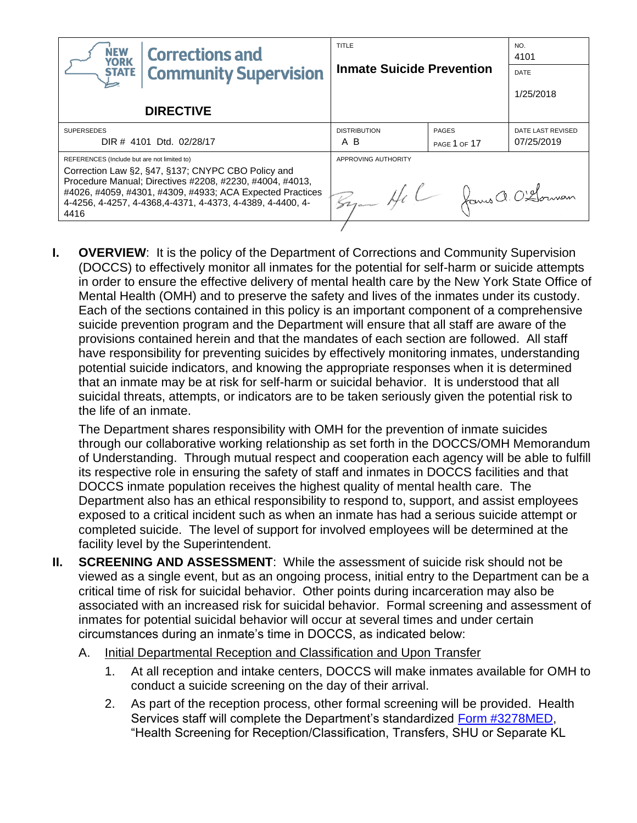| <b>NEW</b><br><b>Corrections and</b><br><b>YORK</b>                                                                                                                                                                                                                                              | <b>TITLE</b><br><b>Inmate Suicide Prevention</b> |              | NO.<br>4101       |  |
|--------------------------------------------------------------------------------------------------------------------------------------------------------------------------------------------------------------------------------------------------------------------------------------------------|--------------------------------------------------|--------------|-------------------|--|
| <b>Community Supervision</b><br><b>STATE</b>                                                                                                                                                                                                                                                     |                                                  |              | DATE              |  |
|                                                                                                                                                                                                                                                                                                  |                                                  |              | 1/25/2018         |  |
| <b>DIRECTIVE</b>                                                                                                                                                                                                                                                                                 |                                                  |              |                   |  |
| <b>SUPERSEDES</b>                                                                                                                                                                                                                                                                                | <b>DISTRIBUTION</b>                              | <b>PAGES</b> | DATE LAST REVISED |  |
| DIR # 4101 Dtd. 02/28/17                                                                                                                                                                                                                                                                         | A B                                              | PAGE 1 OF 17 | 07/25/2019        |  |
| REFERENCES (Include but are not limited to)<br>Correction Law §2, §47, §137; CNYPC CBO Policy and<br>Procedure Manual; Directives #2208, #2230, #4004, #4013,<br>#4026, #4059, #4301, #4309, #4933; ACA Expected Practices<br>4-4256, 4-4257, 4-4368, 4-4371, 4-4373, 4-4389, 4-4400, 4-<br>4416 | APPROVING AUTHORITY<br>By Hel James a. O'Llownam |              |                   |  |

**I. OVERVIEW:** It is the policy of the Department of Corrections and Community Supervision (DOCCS) to effectively monitor all inmates for the potential for self-harm or suicide attempts in order to ensure the effective delivery of mental health care by the New York State Office of Mental Health (OMH) and to preserve the safety and lives of the inmates under its custody. Each of the sections contained in this policy is an important component of a comprehensive suicide prevention program and the Department will ensure that all staff are aware of the provisions contained herein and that the mandates of each section are followed. All staff have responsibility for preventing suicides by effectively monitoring inmates, understanding potential suicide indicators, and knowing the appropriate responses when it is determined that an inmate may be at risk for self-harm or suicidal behavior. It is understood that all suicidal threats, attempts, or indicators are to be taken seriously given the potential risk to the life of an inmate.

The Department shares responsibility with OMH for the prevention of inmate suicides through our collaborative working relationship as set forth in the DOCCS/OMH Memorandum of Understanding. Through mutual respect and cooperation each agency will be able to fulfill its respective role in ensuring the safety of staff and inmates in DOCCS facilities and that DOCCS inmate population receives the highest quality of mental health care. The Department also has an ethical responsibility to respond to, support, and assist employees exposed to a critical incident such as when an inmate has had a serious suicide attempt or completed suicide. The level of support for involved employees will be determined at the facility level by the Superintendent.

- **II. SCREENING AND ASSESSMENT**: While the assessment of suicide risk should not be viewed as a single event, but as an ongoing process, initial entry to the Department can be a critical time of risk for suicidal behavior. Other points during incarceration may also be associated with an increased risk for suicidal behavior. Formal screening and assessment of inmates for potential suicidal behavior will occur at several times and under certain circumstances during an inmate's time in DOCCS, as indicated below:
	- A. Initial Departmental Reception and Classification and Upon Transfer
		- 1. At all reception and intake centers, DOCCS will make inmates available for OMH to conduct a suicide screening on the day of their arrival.
		- 2. As part of the reception process, other formal screening will be provided. Health Services staff will complete the Department's standardized [Form #3278MED,](http://www.doccs.ny.gov/directives/3278MED.pdf) "Health Screening for Reception/Classification, Transfers, SHU or Separate KL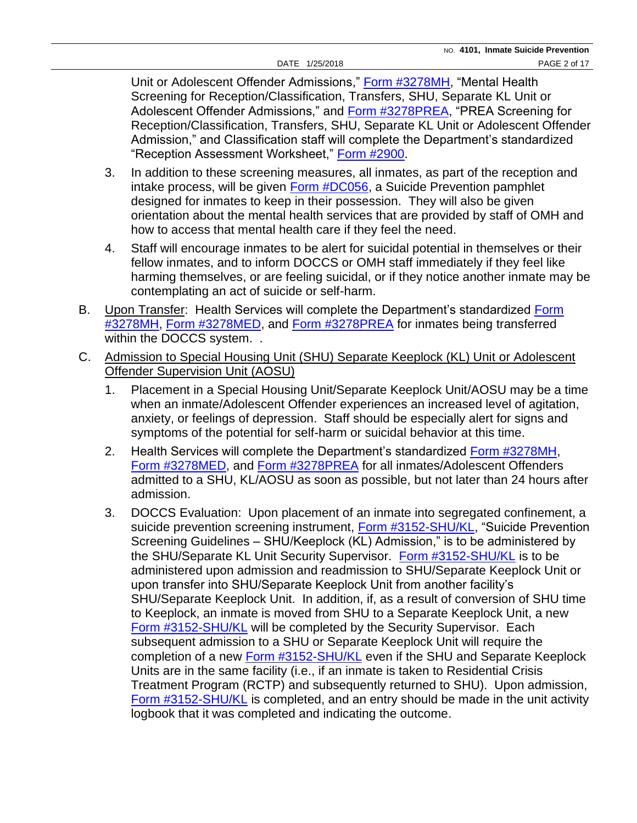Unit or Adolescent Offender Admissions," [Form #3278MH,](http://www.doccs.ny.gov/directives/3278MH.pdf) "Mental Health Screening for Reception/Classification, Transfers, SHU, Separate KL Unit or Adolescent Offender Admissions," and [Form #3278PREA,](http://www.doccs.ny.gov/directives/3278PREA.pdf) "PREA Screening for Reception/Classification, Transfers, SHU, Separate KL Unit or Adolescent Offender Admission," and Classification staff will complete the Department's standardized "Reception Assessment Worksheet," [Form #2900.](http://www.doccs.ny.gov/directives/Frm2900.pdf)

- 3. In addition to these screening measures, all inmates, as part of the reception and intake process, will be given **Form #DC056**, a Suicide Prevention pamphlet designed for inmates to keep in their possession. They will also be given orientation about the mental health services that are provided by staff of OMH and how to access that mental health care if they feel the need.
- 4. Staff will encourage inmates to be alert for suicidal potential in themselves or their fellow inmates, and to inform DOCCS or OMH staff immediately if they feel like harming themselves, or are feeling suicidal, or if they notice another inmate may be contemplating an act of suicide or self-harm.
- B. Upon Transfer: Health Services will complete the Department's standardized Form [#3278MH,](http://www.doccs.ny.gov/directives/3278MH.pdf) [Form #3278MED,](http://www.doccs.ny.gov/directives/3278MED.pdf) and [Form #3278PREA](http://www.doccs.ny.gov/directives/3278PREA.pdf) for inmates being transferred within the DOCCS system. .
- C. Admission to Special Housing Unit (SHU) Separate Keeplock (KL) Unit or Adolescent Offender Supervision Unit (AOSU)
	- 1. Placement in a Special Housing Unit/Separate Keeplock Unit/AOSU may be a time when an inmate/Adolescent Offender experiences an increased level of agitation, anxiety, or feelings of depression. Staff should be especially alert for signs and symptoms of the potential for self-harm or suicidal behavior at this time.
	- 2. Health Services will complete the Department's standardized [Form #3278MH,](http://www.doccs.ny.gov/directives/3278MH.pdf) [Form #3278MED,](http://www.doccs.ny.gov/directives/3278MED.pdf) and [Form #3278PREA](http://www.doccs.ny.gov/directives/3278PREA.pdf) for all inmates/Adolescent Offenders admitted to a SHU, KL/AOSU as soon as possible, but not later than 24 hours after admission.
	- 3. DOCCS Evaluation: Upon placement of an inmate into segregated confinement, a suicide prevention screening instrument, [Form #3152-SHU/KL,](http://www.doccs.ny.gov/directives/Frm3152S.pdf) "Suicide Prevention Screening Guidelines – SHU/Keeplock (KL) Admission," is to be administered by the SHU/Separate KL Unit Security Supervisor. [Form #3152-SHU/KL](http://www.doccs.ny.gov/directives/Frm3152S.pdf) is to be administered upon admission and readmission to SHU/Separate Keeplock Unit or upon transfer into SHU/Separate Keeplock Unit from another facility's SHU/Separate Keeplock Unit. In addition, if, as a result of conversion of SHU time to Keeplock, an inmate is moved from SHU to a Separate Keeplock Unit, a new [Form #3152-SHU/KL](http://www.doccs.ny.gov/directives/Frm3152S.pdf) will be completed by the Security Supervisor. Each subsequent admission to a SHU or Separate Keeplock Unit will require the completion of a new [Form #3152-SHU/KL](http://www.doccs.ny.gov/directives/Frm3152S.pdf) even if the SHU and Separate Keeplock Units are in the same facility (i.e., if an inmate is taken to Residential Crisis Treatment Program (RCTP) and subsequently returned to SHU). Upon admission, [Form #3152-SHU/KL](http://www.doccs.ny.gov/directives/Frm3152S.pdf) is completed, and an entry should be made in the unit activity logbook that it was completed and indicating the outcome.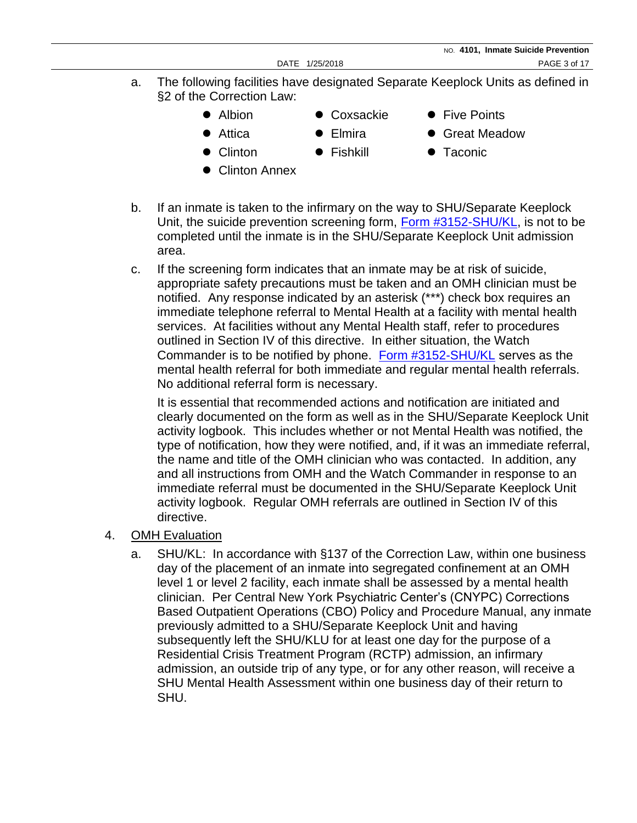- a. The following facilities have designated Separate Keeplock Units as defined in §2 of the Correction Law:
	-
- 
- Albion Coxsackie Five Points
- 
- 
- 
- 
- 
- Attica Elmira Great Meadow
- Clinton Fishkill Taconic
- Clinton Annex
- b. If an inmate is taken to the infirmary on the way to SHU/Separate Keeplock Unit, the suicide prevention screening form, [Form #3152-SHU/KL,](http://www.doccs.ny.gov/directives/Frm3152S.pdf) is not to be completed until the inmate is in the SHU/Separate Keeplock Unit admission area.
- c. If the screening form indicates that an inmate may be at risk of suicide, appropriate safety precautions must be taken and an OMH clinician must be notified. Any response indicated by an asterisk (\*\*\*) check box requires an immediate telephone referral to Mental Health at a facility with mental health services. At facilities without any Mental Health staff, refer to procedures outlined in Section IV of this directive. In either situation, the Watch Commander is to be notified by phone. [Form #3152-SHU/KL](http://www.doccs.ny.gov/directives/Frm3152S.pdf) serves as the mental health referral for both immediate and regular mental health referrals. No additional referral form is necessary.

It is essential that recommended actions and notification are initiated and clearly documented on the form as well as in the SHU/Separate Keeplock Unit activity logbook. This includes whether or not Mental Health was notified, the type of notification, how they were notified, and, if it was an immediate referral, the name and title of the OMH clinician who was contacted. In addition, any and all instructions from OMH and the Watch Commander in response to an immediate referral must be documented in the SHU/Separate Keeplock Unit activity logbook. Regular OMH referrals are outlined in Section IV of this directive.

- 4. OMH Evaluation
	- a. SHU/KL: In accordance with §137 of the Correction Law, within one business day of the placement of an inmate into segregated confinement at an OMH level 1 or level 2 facility, each inmate shall be assessed by a mental health clinician. Per Central New York Psychiatric Center's (CNYPC) Corrections Based Outpatient Operations (CBO) Policy and Procedure Manual, any inmate previously admitted to a SHU/Separate Keeplock Unit and having subsequently left the SHU/KLU for at least one day for the purpose of a Residential Crisis Treatment Program (RCTP) admission, an infirmary admission, an outside trip of any type, or for any other reason, will receive a SHU Mental Health Assessment within one business day of their return to SHU.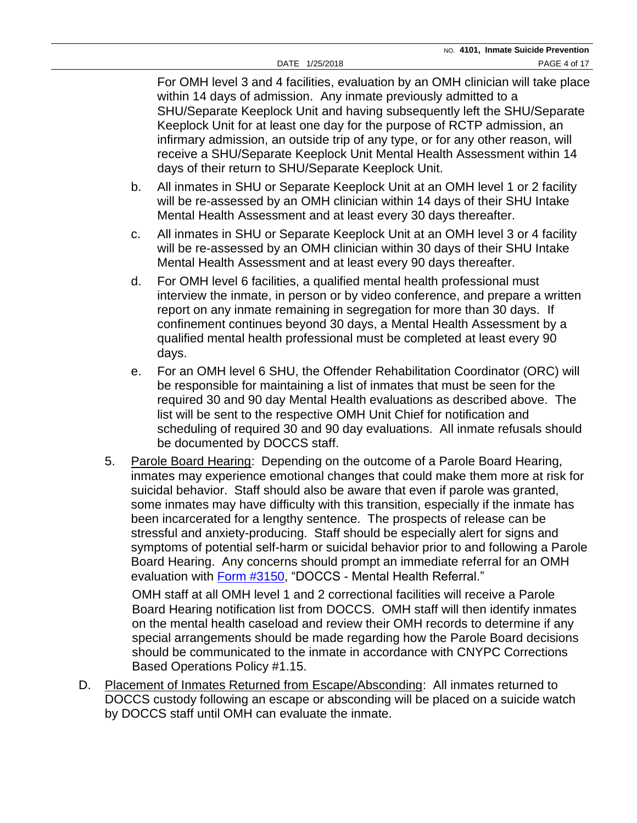For OMH level 3 and 4 facilities, evaluation by an OMH clinician will take place within 14 days of admission. Any inmate previously admitted to a SHU/Separate Keeplock Unit and having subsequently left the SHU/Separate Keeplock Unit for at least one day for the purpose of RCTP admission, an infirmary admission, an outside trip of any type, or for any other reason, will receive a SHU/Separate Keeplock Unit Mental Health Assessment within 14 days of their return to SHU/Separate Keeplock Unit.

- b. All inmates in SHU or Separate Keeplock Unit at an OMH level 1 or 2 facility will be re-assessed by an OMH clinician within 14 days of their SHU Intake Mental Health Assessment and at least every 30 days thereafter.
- c. All inmates in SHU or Separate Keeplock Unit at an OMH level 3 or 4 facility will be re-assessed by an OMH clinician within 30 days of their SHU Intake Mental Health Assessment and at least every 90 days thereafter.
- d. For OMH level 6 facilities, a qualified mental health professional must interview the inmate, in person or by video conference, and prepare a written report on any inmate remaining in segregation for more than 30 days. If confinement continues beyond 30 days, a Mental Health Assessment by a qualified mental health professional must be completed at least every 90 days.
- e. For an OMH level 6 SHU, the Offender Rehabilitation Coordinator (ORC) will be responsible for maintaining a list of inmates that must be seen for the required 30 and 90 day Mental Health evaluations as described above. The list will be sent to the respective OMH Unit Chief for notification and scheduling of required 30 and 90 day evaluations. All inmate refusals should be documented by DOCCS staff.
- 5. Parole Board Hearing: Depending on the outcome of a Parole Board Hearing, inmates may experience emotional changes that could make them more at risk for suicidal behavior. Staff should also be aware that even if parole was granted, some inmates may have difficulty with this transition, especially if the inmate has been incarcerated for a lengthy sentence. The prospects of release can be stressful and anxiety-producing. Staff should be especially alert for signs and symptoms of potential self-harm or suicidal behavior prior to and following a Parole Board Hearing. Any concerns should prompt an immediate referral for an OMH evaluation with [Form #3150,](http://www.doccs.ny.gov/directives/Frm3150.pdf) "DOCCS - Mental Health Referral."

OMH staff at all OMH level 1 and 2 correctional facilities will receive a Parole Board Hearing notification list from DOCCS. OMH staff will then identify inmates on the mental health caseload and review their OMH records to determine if any special arrangements should be made regarding how the Parole Board decisions should be communicated to the inmate in accordance with CNYPC Corrections Based Operations Policy #1.15.

D. Placement of Inmates Returned from Escape/Absconding: All inmates returned to DOCCS custody following an escape or absconding will be placed on a suicide watch by DOCCS staff until OMH can evaluate the inmate.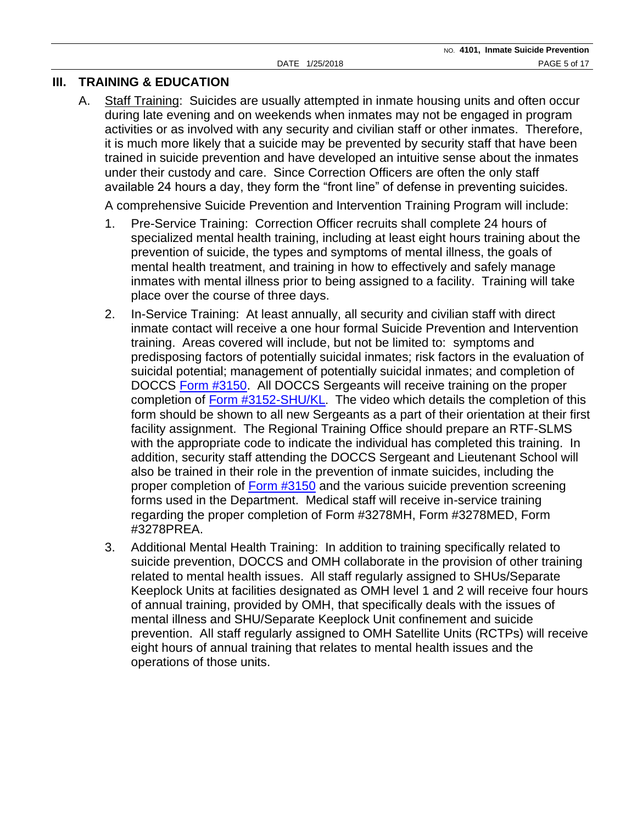### **III. TRAINING & EDUCATION**

A. Staff Training: Suicides are usually attempted in inmate housing units and often occur during late evening and on weekends when inmates may not be engaged in program activities or as involved with any security and civilian staff or other inmates. Therefore, it is much more likely that a suicide may be prevented by security staff that have been trained in suicide prevention and have developed an intuitive sense about the inmates under their custody and care. Since Correction Officers are often the only staff available 24 hours a day, they form the "front line" of defense in preventing suicides.

A comprehensive Suicide Prevention and Intervention Training Program will include:

- 1. Pre-Service Training: Correction Officer recruits shall complete 24 hours of specialized mental health training, including at least eight hours training about the prevention of suicide, the types and symptoms of mental illness, the goals of mental health treatment, and training in how to effectively and safely manage inmates with mental illness prior to being assigned to a facility. Training will take place over the course of three days.
- 2. In-Service Training: At least annually, all security and civilian staff with direct inmate contact will receive a one hour formal Suicide Prevention and Intervention training. Areas covered will include, but not be limited to: symptoms and predisposing factors of potentially suicidal inmates; risk factors in the evaluation of suicidal potential; management of potentially suicidal inmates; and completion of DOCCS [Form #3150.](http://www.doccs.ny.gov/directives/Frm3150.pdf) All DOCCS Sergeants will receive training on the proper completion of [Form #3152-SHU/KL](http://www.doccs.ny.gov/directives/Frm3152s.pdf). The video which details the completion of this form should be shown to all new Sergeants as a part of their orientation at their first facility assignment. The Regional Training Office should prepare an RTF-SLMS with the appropriate code to indicate the individual has completed this training. In addition, security staff attending the DOCCS Sergeant and Lieutenant School will also be trained in their role in the prevention of inmate suicides, including the proper completion of [Form #3150](http://www.doccs.ny.gov/directives/Frm3150.pdf) and the various suicide prevention screening forms used in the Department. Medical staff will receive in-service training regarding the proper completion of Form #3278MH, Form #3278MED, Form #3278PREA.
- 3. Additional Mental Health Training: In addition to training specifically related to suicide prevention, DOCCS and OMH collaborate in the provision of other training related to mental health issues. All staff regularly assigned to SHUs/Separate Keeplock Units at facilities designated as OMH level 1 and 2 will receive four hours of annual training, provided by OMH, that specifically deals with the issues of mental illness and SHU/Separate Keeplock Unit confinement and suicide prevention. All staff regularly assigned to OMH Satellite Units (RCTPs) will receive eight hours of annual training that relates to mental health issues and the operations of those units.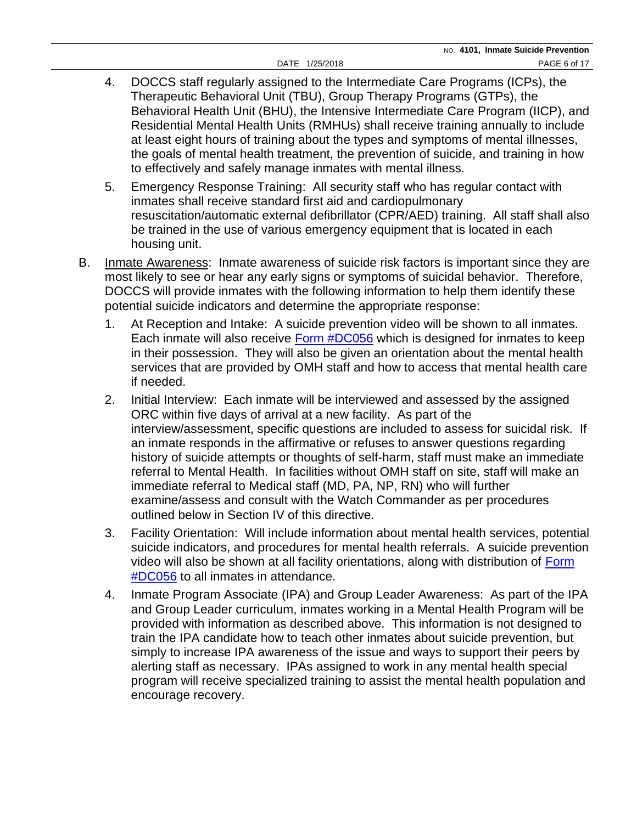- 4. DOCCS staff regularly assigned to the Intermediate Care Programs (ICPs), the Therapeutic Behavioral Unit (TBU), Group Therapy Programs (GTPs), the Behavioral Health Unit (BHU), the Intensive Intermediate Care Program (IICP), and Residential Mental Health Units (RMHUs) shall receive training annually to include at least eight hours of training about the types and symptoms of mental illnesses, the goals of mental health treatment, the prevention of suicide, and training in how to effectively and safely manage inmates with mental illness.
- 5. Emergency Response Training: All security staff who has regular contact with inmates shall receive standard first aid and cardiopulmonary resuscitation/automatic external defibrillator (CPR/AED) training. All staff shall also be trained in the use of various emergency equipment that is located in each housing unit.
- B. Inmate Awareness: Inmate awareness of suicide risk factors is important since they are most likely to see or hear any early signs or symptoms of suicidal behavior. Therefore, DOCCS will provide inmates with the following information to help them identify these potential suicide indicators and determine the appropriate response:
	- 1. At Reception and Intake: A suicide prevention video will be shown to all inmates. Each inmate will also receive **Form #DC056** which is designed for inmates to keep in their possession. They will also be given an orientation about the mental health services that are provided by OMH staff and how to access that mental health care if needed.
	- 2. Initial Interview: Each inmate will be interviewed and assessed by the assigned ORC within five days of arrival at a new facility. As part of the interview/assessment, specific questions are included to assess for suicidal risk. If an inmate responds in the affirmative or refuses to answer questions regarding history of suicide attempts or thoughts of self-harm, staff must make an immediate referral to Mental Health. In facilities without OMH staff on site, staff will make an immediate referral to Medical staff (MD, PA, NP, RN) who will further examine/assess and consult with the Watch Commander as per procedures outlined below in Section IV of this directive.
	- 3. Facility Orientation: Will include information about mental health services, potential suicide indicators, and procedures for mental health referrals. A suicide prevention video will also be shown at all facility orientations, along with distribution of [Form](http://www.doccs.ny.gov/directives/DC056.pdf)  [#DC056](http://www.doccs.ny.gov/directives/DC056.pdf) to all inmates in attendance.
	- 4. Inmate Program Associate (IPA) and Group Leader Awareness: As part of the IPA and Group Leader curriculum, inmates working in a Mental Health Program will be provided with information as described above. This information is not designed to train the IPA candidate how to teach other inmates about suicide prevention, but simply to increase IPA awareness of the issue and ways to support their peers by alerting staff as necessary. IPAs assigned to work in any mental health special program will receive specialized training to assist the mental health population and encourage recovery.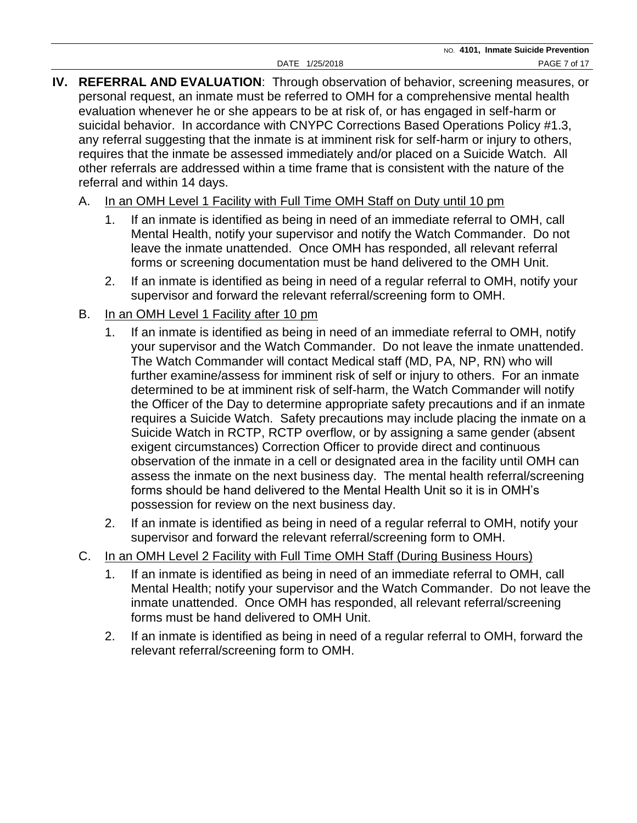- **IV. REFERRAL AND EVALUATION**: Through observation of behavior, screening measures, or personal request, an inmate must be referred to OMH for a comprehensive mental health evaluation whenever he or she appears to be at risk of, or has engaged in self-harm or suicidal behavior. In accordance with CNYPC Corrections Based Operations Policy #1.3, any referral suggesting that the inmate is at imminent risk for self-harm or injury to others, requires that the inmate be assessed immediately and/or placed on a Suicide Watch. All other referrals are addressed within a time frame that is consistent with the nature of the referral and within 14 days.
	- A. In an OMH Level 1 Facility with Full Time OMH Staff on Duty until 10 pm
		- 1. If an inmate is identified as being in need of an immediate referral to OMH, call Mental Health, notify your supervisor and notify the Watch Commander. Do not leave the inmate unattended. Once OMH has responded, all relevant referral forms or screening documentation must be hand delivered to the OMH Unit.
		- 2. If an inmate is identified as being in need of a regular referral to OMH, notify your supervisor and forward the relevant referral/screening form to OMH.
	- B. In an OMH Level 1 Facility after 10 pm
		- 1. If an inmate is identified as being in need of an immediate referral to OMH, notify your supervisor and the Watch Commander. Do not leave the inmate unattended. The Watch Commander will contact Medical staff (MD, PA, NP, RN) who will further examine/assess for imminent risk of self or injury to others. For an inmate determined to be at imminent risk of self-harm, the Watch Commander will notify the Officer of the Day to determine appropriate safety precautions and if an inmate requires a Suicide Watch. Safety precautions may include placing the inmate on a Suicide Watch in RCTP, RCTP overflow, or by assigning a same gender (absent exigent circumstances) Correction Officer to provide direct and continuous observation of the inmate in a cell or designated area in the facility until OMH can assess the inmate on the next business day. The mental health referral/screening forms should be hand delivered to the Mental Health Unit so it is in OMH's possession for review on the next business day.
		- 2. If an inmate is identified as being in need of a regular referral to OMH, notify your supervisor and forward the relevant referral/screening form to OMH.
	- C. In an OMH Level 2 Facility with Full Time OMH Staff (During Business Hours)
		- 1. If an inmate is identified as being in need of an immediate referral to OMH, call Mental Health; notify your supervisor and the Watch Commander. Do not leave the inmate unattended. Once OMH has responded, all relevant referral/screening forms must be hand delivered to OMH Unit.
		- 2. If an inmate is identified as being in need of a regular referral to OMH, forward the relevant referral/screening form to OMH.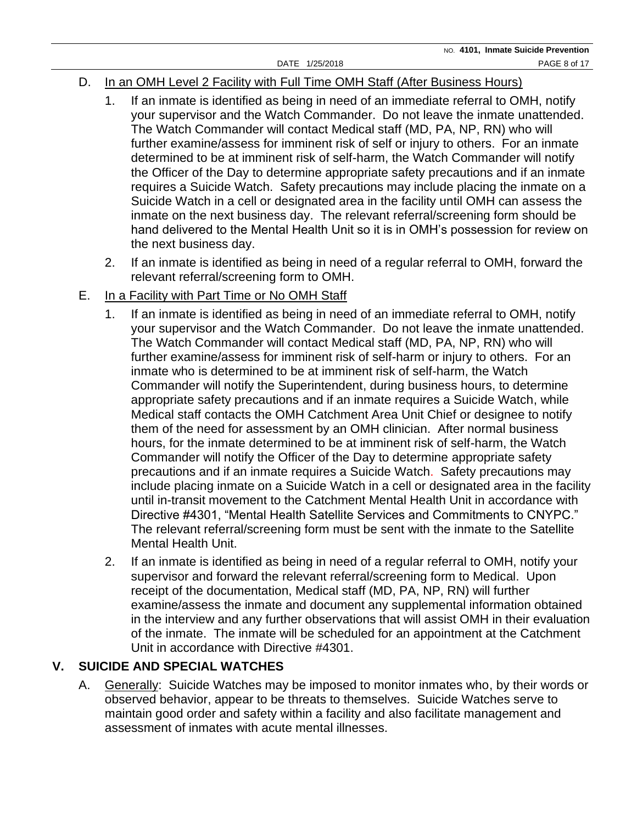## D. In an OMH Level 2 Facility with Full Time OMH Staff (After Business Hours)

- 1. If an inmate is identified as being in need of an immediate referral to OMH, notify your supervisor and the Watch Commander. Do not leave the inmate unattended. The Watch Commander will contact Medical staff (MD, PA, NP, RN) who will further examine/assess for imminent risk of self or injury to others. For an inmate determined to be at imminent risk of self-harm, the Watch Commander will notify the Officer of the Day to determine appropriate safety precautions and if an inmate requires a Suicide Watch. Safety precautions may include placing the inmate on a Suicide Watch in a cell or designated area in the facility until OMH can assess the inmate on the next business day. The relevant referral/screening form should be hand delivered to the Mental Health Unit so it is in OMH's possession for review on the next business day.
- 2. If an inmate is identified as being in need of a regular referral to OMH, forward the relevant referral/screening form to OMH.

## E. In a Facility with Part Time or No OMH Staff

- 1. If an inmate is identified as being in need of an immediate referral to OMH, notify your supervisor and the Watch Commander. Do not leave the inmate unattended. The Watch Commander will contact Medical staff (MD, PA, NP, RN) who will further examine/assess for imminent risk of self-harm or injury to others. For an inmate who is determined to be at imminent risk of self-harm, the Watch Commander will notify the Superintendent, during business hours, to determine appropriate safety precautions and if an inmate requires a Suicide Watch, while Medical staff contacts the OMH Catchment Area Unit Chief or designee to notify them of the need for assessment by an OMH clinician. After normal business hours, for the inmate determined to be at imminent risk of self-harm, the Watch Commander will notify the Officer of the Day to determine appropriate safety precautions and if an inmate requires a Suicide Watch. Safety precautions may include placing inmate on a Suicide Watch in a cell or designated area in the facility until in-transit movement to the Catchment Mental Health Unit in accordance with Directive #4301, "Mental Health Satellite Services and Commitments to CNYPC." The relevant referral/screening form must be sent with the inmate to the Satellite Mental Health Unit.
- 2. If an inmate is identified as being in need of a regular referral to OMH, notify your supervisor and forward the relevant referral/screening form to Medical. Upon receipt of the documentation, Medical staff (MD, PA, NP, RN) will further examine/assess the inmate and document any supplemental information obtained in the interview and any further observations that will assist OMH in their evaluation of the inmate. The inmate will be scheduled for an appointment at the Catchment Unit in accordance with Directive #4301.

# **V. SUICIDE AND SPECIAL WATCHES**

A. Generally: Suicide Watches may be imposed to monitor inmates who, by their words or observed behavior, appear to be threats to themselves. Suicide Watches serve to maintain good order and safety within a facility and also facilitate management and assessment of inmates with acute mental illnesses.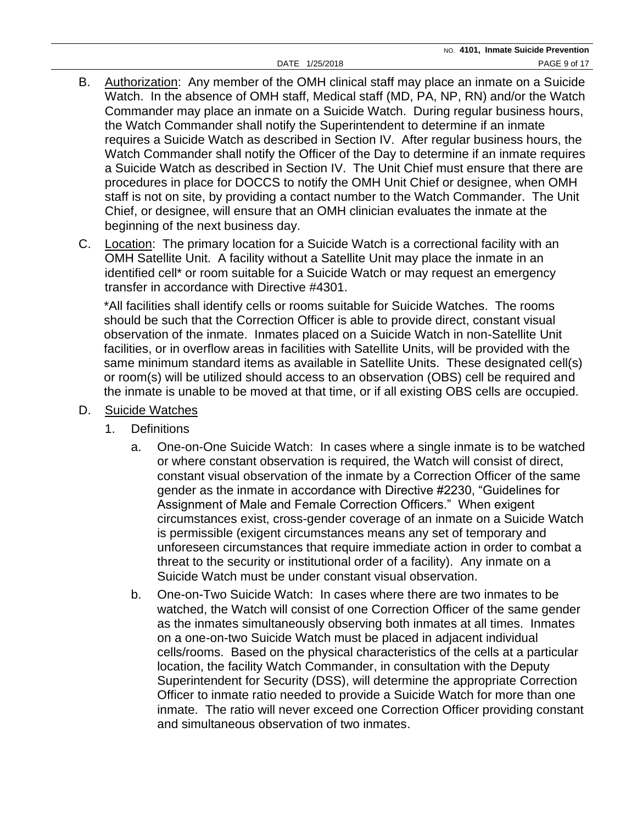- B. Authorization: Any member of the OMH clinical staff may place an inmate on a Suicide Watch. In the absence of OMH staff, Medical staff (MD, PA, NP, RN) and/or the Watch Commander may place an inmate on a Suicide Watch. During regular business hours, the Watch Commander shall notify the Superintendent to determine if an inmate requires a Suicide Watch as described in Section IV. After regular business hours, the Watch Commander shall notify the Officer of the Day to determine if an inmate requires a Suicide Watch as described in Section IV. The Unit Chief must ensure that there are procedures in place for DOCCS to notify the OMH Unit Chief or designee, when OMH staff is not on site, by providing a contact number to the Watch Commander. The Unit Chief, or designee, will ensure that an OMH clinician evaluates the inmate at the beginning of the next business day.
- C. Location: The primary location for a Suicide Watch is a correctional facility with an OMH Satellite Unit. A facility without a Satellite Unit may place the inmate in an identified cell\* or room suitable for a Suicide Watch or may request an emergency transfer in accordance with Directive #4301.

\*All facilities shall identify cells or rooms suitable for Suicide Watches. The rooms should be such that the Correction Officer is able to provide direct, constant visual observation of the inmate. Inmates placed on a Suicide Watch in non-Satellite Unit facilities, or in overflow areas in facilities with Satellite Units, will be provided with the same minimum standard items as available in Satellite Units. These designated cell(s) or room(s) will be utilized should access to an observation (OBS) cell be required and the inmate is unable to be moved at that time, or if all existing OBS cells are occupied.

#### D. Suicide Watches

- 1. Definitions
	- a. One-on-One Suicide Watch: In cases where a single inmate is to be watched or where constant observation is required, the Watch will consist of direct, constant visual observation of the inmate by a Correction Officer of the same gender as the inmate in accordance with Directive #2230, "Guidelines for Assignment of Male and Female Correction Officers." When exigent circumstances exist, cross-gender coverage of an inmate on a Suicide Watch is permissible (exigent circumstances means any set of temporary and unforeseen circumstances that require immediate action in order to combat a threat to the security or institutional order of a facility). Any inmate on a Suicide Watch must be under constant visual observation.
	- b. One-on-Two Suicide Watch: In cases where there are two inmates to be watched, the Watch will consist of one Correction Officer of the same gender as the inmates simultaneously observing both inmates at all times. Inmates on a one-on-two Suicide Watch must be placed in adjacent individual cells/rooms. Based on the physical characteristics of the cells at a particular location, the facility Watch Commander, in consultation with the Deputy Superintendent for Security (DSS), will determine the appropriate Correction Officer to inmate ratio needed to provide a Suicide Watch for more than one inmate. The ratio will never exceed one Correction Officer providing constant and simultaneous observation of two inmates.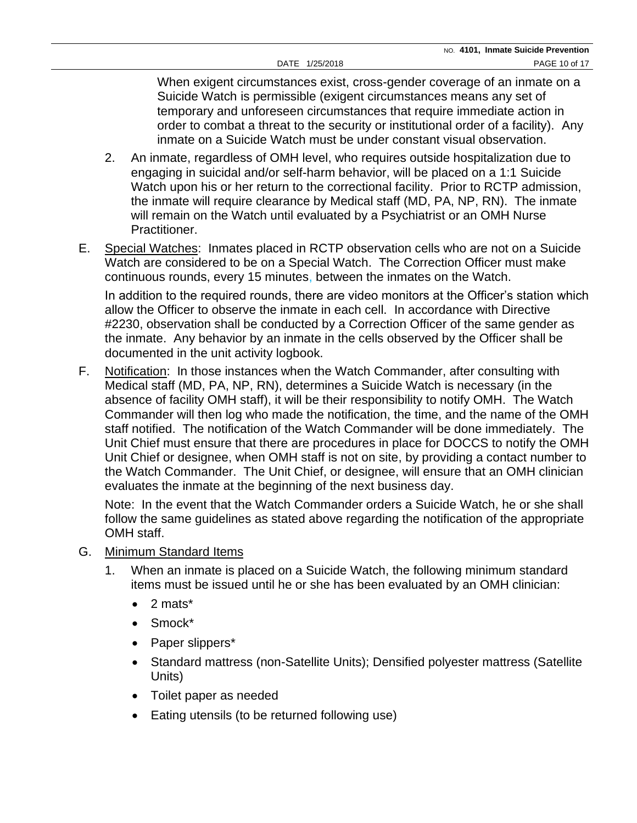When exigent circumstances exist, cross-gender coverage of an inmate on a Suicide Watch is permissible (exigent circumstances means any set of temporary and unforeseen circumstances that require immediate action in order to combat a threat to the security or institutional order of a facility). Any inmate on a Suicide Watch must be under constant visual observation.

- 2. An inmate, regardless of OMH level, who requires outside hospitalization due to engaging in suicidal and/or self-harm behavior, will be placed on a 1:1 Suicide Watch upon his or her return to the correctional facility. Prior to RCTP admission, the inmate will require clearance by Medical staff (MD, PA, NP, RN). The inmate will remain on the Watch until evaluated by a Psychiatrist or an OMH Nurse Practitioner.
- E. Special Watches: Inmates placed in RCTP observation cells who are not on a Suicide Watch are considered to be on a Special Watch. The Correction Officer must make continuous rounds, every 15 minutes, between the inmates on the Watch.

In addition to the required rounds, there are video monitors at the Officer's station which allow the Officer to observe the inmate in each cell. In accordance with Directive #2230, observation shall be conducted by a Correction Officer of the same gender as the inmate. Any behavior by an inmate in the cells observed by the Officer shall be documented in the unit activity logbook.

F. Notification: In those instances when the Watch Commander, after consulting with Medical staff (MD, PA, NP, RN), determines a Suicide Watch is necessary (in the absence of facility OMH staff), it will be their responsibility to notify OMH. The Watch Commander will then log who made the notification, the time, and the name of the OMH staff notified. The notification of the Watch Commander will be done immediately. The Unit Chief must ensure that there are procedures in place for DOCCS to notify the OMH Unit Chief or designee, when OMH staff is not on site, by providing a contact number to the Watch Commander. The Unit Chief, or designee, will ensure that an OMH clinician evaluates the inmate at the beginning of the next business day.

Note: In the event that the Watch Commander orders a Suicide Watch, he or she shall follow the same guidelines as stated above regarding the notification of the appropriate OMH staff.

- G. Minimum Standard Items
	- 1. When an inmate is placed on a Suicide Watch, the following minimum standard items must be issued until he or she has been evaluated by an OMH clinician:
		- $\bullet$  2 mats\*
		- Smock\*
		- Paper slippers\*
		- Standard mattress (non-Satellite Units); Densified polyester mattress (Satellite Units)
		- Toilet paper as needed
		- Eating utensils (to be returned following use)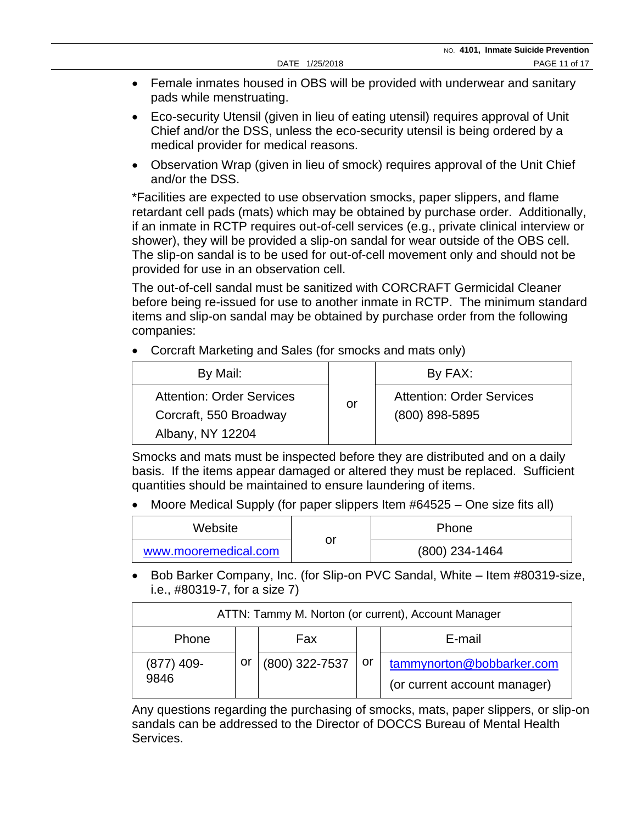- Female inmates housed in OBS will be provided with underwear and sanitary pads while menstruating.
- Eco-security Utensil (given in lieu of eating utensil) requires approval of Unit Chief and/or the DSS, unless the eco-security utensil is being ordered by a medical provider for medical reasons.
- Observation Wrap (given in lieu of smock) requires approval of the Unit Chief and/or the DSS.

\*Facilities are expected to use observation smocks, paper slippers, and flame retardant cell pads (mats) which may be obtained by purchase order. Additionally, if an inmate in RCTP requires out-of-cell services (e.g., private clinical interview or shower), they will be provided a slip-on sandal for wear outside of the OBS cell. The slip-on sandal is to be used for out-of-cell movement only and should not be provided for use in an observation cell.

The out-of-cell sandal must be sanitized with CORCRAFT Germicidal Cleaner before being re-issued for use to another inmate in RCTP. The minimum standard items and slip-on sandal may be obtained by purchase order from the following companies:

• Corcraft Marketing and Sales (for smocks and mats only)

| By Mail:                                                                       |    | By FAX:                                              |  |
|--------------------------------------------------------------------------------|----|------------------------------------------------------|--|
| <b>Attention: Order Services</b><br>Corcraft, 550 Broadway<br>Albany, NY 12204 | or | <b>Attention: Order Services</b><br>$(800)$ 898-5895 |  |

Smocks and mats must be inspected before they are distributed and on a daily basis. If the items appear damaged or altered they must be replaced. Sufficient quantities should be maintained to ensure laundering of items.

• Moore Medical Supply (for paper slippers Item #64525 – One size fits all)

| Website              |    | <b>Phone</b>     |
|----------------------|----|------------------|
| www.mooremedical.com | or | $(800)$ 234-1464 |

• Bob Barker Company, Inc. (for Slip-on PVC Sandal, White – Item #80319-size, i.e., #80319-7, for a size 7)

| ATTN: Tammy M. Norton (or current), Account Manager |    |                |      |                                                           |  |
|-----------------------------------------------------|----|----------------|------|-----------------------------------------------------------|--|
| Phone                                               |    | Fax            |      | E-mail                                                    |  |
| $(877)$ 409-<br>9846                                | or | (800) 322-7537 | l or | tammynorton@bobbarker.com<br>(or current account manager) |  |

Any questions regarding the purchasing of smocks, mats, paper slippers, or slip-on sandals can be addressed to the Director of DOCCS Bureau of Mental Health Services.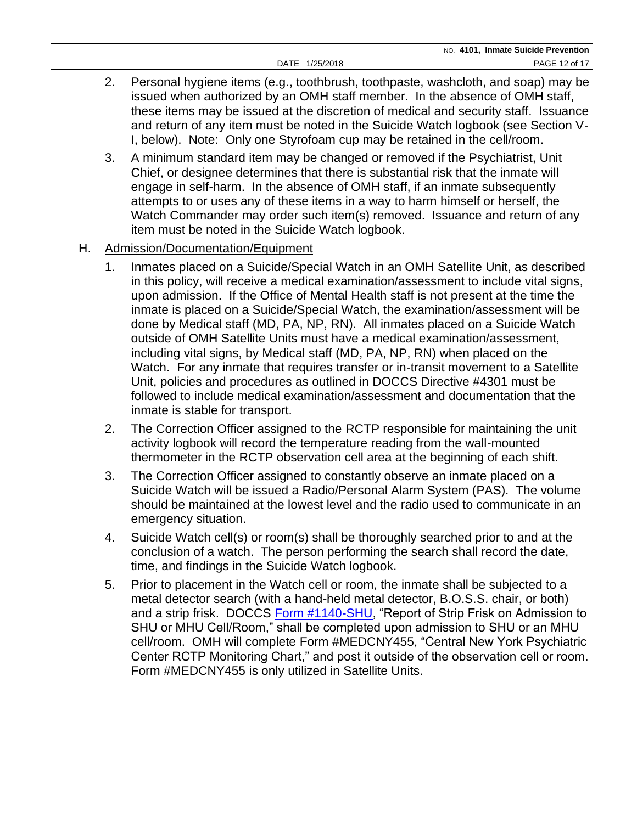- 2. Personal hygiene items (e.g., toothbrush, toothpaste, washcloth, and soap) may be issued when authorized by an OMH staff member. In the absence of OMH staff, these items may be issued at the discretion of medical and security staff. Issuance and return of any item must be noted in the Suicide Watch logbook (see Section V-I, below). Note: Only one Styrofoam cup may be retained in the cell/room.
- 3. A minimum standard item may be changed or removed if the Psychiatrist, Unit Chief, or designee determines that there is substantial risk that the inmate will engage in self-harm. In the absence of OMH staff, if an inmate subsequently attempts to or uses any of these items in a way to harm himself or herself, the Watch Commander may order such item(s) removed. Issuance and return of any item must be noted in the Suicide Watch logbook.
- H. Admission/Documentation/Equipment
	- 1. Inmates placed on a Suicide/Special Watch in an OMH Satellite Unit, as described in this policy, will receive a medical examination/assessment to include vital signs, upon admission. If the Office of Mental Health staff is not present at the time the inmate is placed on a Suicide/Special Watch, the examination/assessment will be done by Medical staff (MD, PA, NP, RN). All inmates placed on a Suicide Watch outside of OMH Satellite Units must have a medical examination/assessment, including vital signs, by Medical staff (MD, PA, NP, RN) when placed on the Watch. For any inmate that requires transfer or in-transit movement to a Satellite Unit, policies and procedures as outlined in DOCCS Directive #4301 must be followed to include medical examination/assessment and documentation that the inmate is stable for transport.
	- 2. The Correction Officer assigned to the RCTP responsible for maintaining the unit activity logbook will record the temperature reading from the wall-mounted thermometer in the RCTP observation cell area at the beginning of each shift.
	- 3. The Correction Officer assigned to constantly observe an inmate placed on a Suicide Watch will be issued a Radio/Personal Alarm System (PAS). The volume should be maintained at the lowest level and the radio used to communicate in an emergency situation.
	- 4. Suicide Watch cell(s) or room(s) shall be thoroughly searched prior to and at the conclusion of a watch. The person performing the search shall record the date, time, and findings in the Suicide Watch logbook.
	- 5. Prior to placement in the Watch cell or room, the inmate shall be subjected to a metal detector search (with a hand-held metal detector, B.O.S.S. chair, or both) and a strip frisk. DOCCS [Form #1140-SHU,](http://www.doccs.ny.gov/directives/Frm1140s.pdf) "Report of Strip Frisk on Admission to SHU or MHU Cell/Room," shall be completed upon admission to SHU or an MHU cell/room. OMH will complete Form #MEDCNY455, "Central New York Psychiatric Center RCTP Monitoring Chart," and post it outside of the observation cell or room. Form #MEDCNY455 is only utilized in Satellite Units.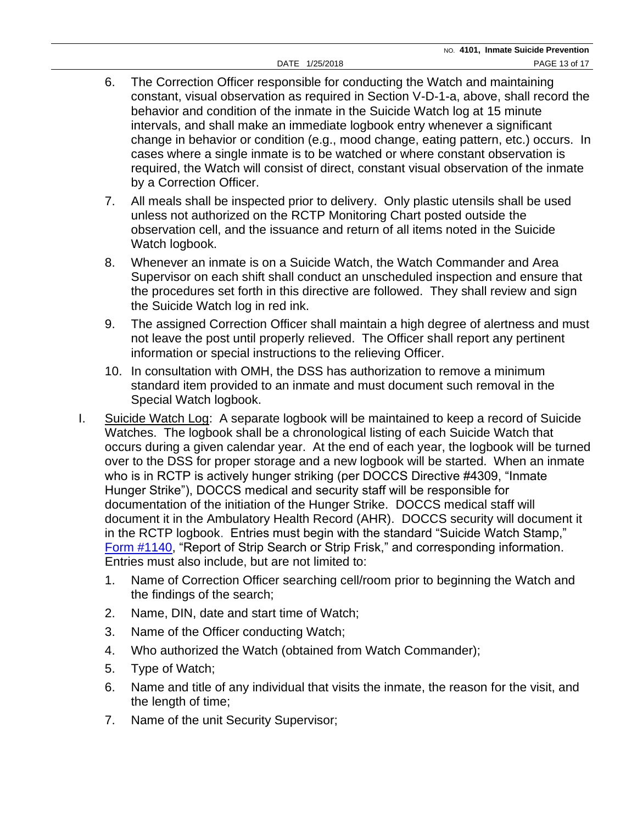- 6. The Correction Officer responsible for conducting the Watch and maintaining constant, visual observation as required in Section V-D-1-a, above, shall record the behavior and condition of the inmate in the Suicide Watch log at 15 minute intervals, and shall make an immediate logbook entry whenever a significant change in behavior or condition (e.g., mood change, eating pattern, etc.) occurs. In cases where a single inmate is to be watched or where constant observation is required, the Watch will consist of direct, constant visual observation of the inmate by a Correction Officer.
- 7. All meals shall be inspected prior to delivery. Only plastic utensils shall be used unless not authorized on the RCTP Monitoring Chart posted outside the observation cell, and the issuance and return of all items noted in the Suicide Watch logbook.
- 8. Whenever an inmate is on a Suicide Watch, the Watch Commander and Area Supervisor on each shift shall conduct an unscheduled inspection and ensure that the procedures set forth in this directive are followed. They shall review and sign the Suicide Watch log in red ink.
- 9. The assigned Correction Officer shall maintain a high degree of alertness and must not leave the post until properly relieved. The Officer shall report any pertinent information or special instructions to the relieving Officer.
- 10. In consultation with OMH, the DSS has authorization to remove a minimum standard item provided to an inmate and must document such removal in the Special Watch logbook.
- I. Suicide Watch Log: A separate logbook will be maintained to keep a record of Suicide Watches. The logbook shall be a chronological listing of each Suicide Watch that occurs during a given calendar year. At the end of each year, the logbook will be turned over to the DSS for proper storage and a new logbook will be started. When an inmate who is in RCTP is actively hunger striking (per DOCCS Directive #4309, "Inmate Hunger Strike"), DOCCS medical and security staff will be responsible for documentation of the initiation of the Hunger Strike. DOCCS medical staff will document it in the Ambulatory Health Record (AHR). DOCCS security will document it in the RCTP logbook. Entries must begin with the standard "Suicide Watch Stamp," [Form #1140,](http://www.doccs.ny.gov/directives/Frm1140.pdf) "Report of Strip Search or Strip Frisk," and corresponding information. Entries must also include, but are not limited to:
	- 1. Name of Correction Officer searching cell/room prior to beginning the Watch and the findings of the search;
	- 2. Name, DIN, date and start time of Watch;
	- 3. Name of the Officer conducting Watch;
	- 4. Who authorized the Watch (obtained from Watch Commander);
	- 5. Type of Watch;
	- 6. Name and title of any individual that visits the inmate, the reason for the visit, and the length of time;
	- 7. Name of the unit Security Supervisor;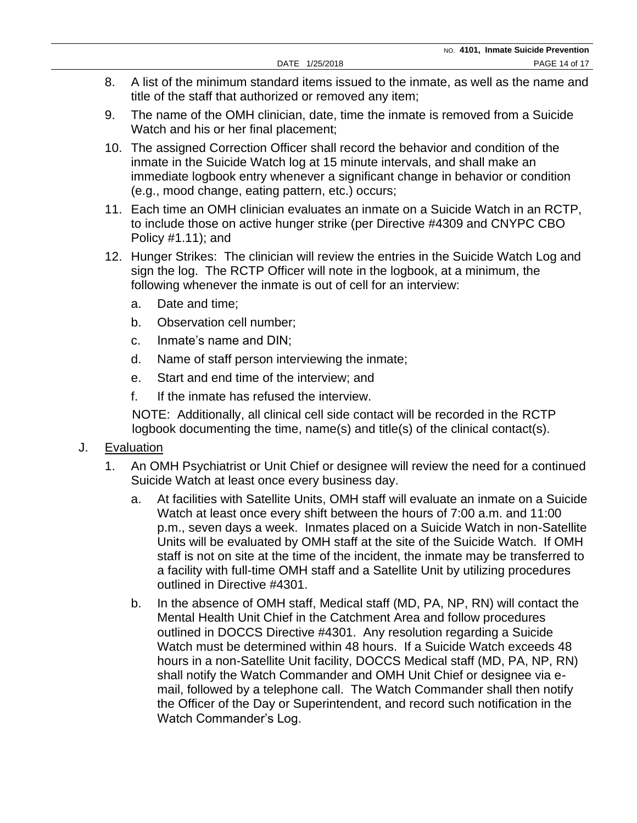- 8. A list of the minimum standard items issued to the inmate, as well as the name and title of the staff that authorized or removed any item;
- 9. The name of the OMH clinician, date, time the inmate is removed from a Suicide Watch and his or her final placement;
- 10. The assigned Correction Officer shall record the behavior and condition of the inmate in the Suicide Watch log at 15 minute intervals, and shall make an immediate logbook entry whenever a significant change in behavior or condition (e.g., mood change, eating pattern, etc.) occurs;
- 11. Each time an OMH clinician evaluates an inmate on a Suicide Watch in an RCTP, to include those on active hunger strike (per Directive #4309 and CNYPC CBO Policy #1.11); and
- 12. Hunger Strikes: The clinician will review the entries in the Suicide Watch Log and sign the log. The RCTP Officer will note in the logbook, at a minimum, the following whenever the inmate is out of cell for an interview:
	- a. Date and time;
	- b. Observation cell number;
	- c. Inmate's name and DIN;
	- d. Name of staff person interviewing the inmate;
	- e. Start and end time of the interview; and
	- f. If the inmate has refused the interview.

NOTE: Additionally, all clinical cell side contact will be recorded in the RCTP logbook documenting the time, name(s) and title(s) of the clinical contact(s).

- J. Evaluation
	- 1. An OMH Psychiatrist or Unit Chief or designee will review the need for a continued Suicide Watch at least once every business day.
		- a. At facilities with Satellite Units, OMH staff will evaluate an inmate on a Suicide Watch at least once every shift between the hours of 7:00 a.m. and 11:00 p.m., seven days a week. Inmates placed on a Suicide Watch in non-Satellite Units will be evaluated by OMH staff at the site of the Suicide Watch. If OMH staff is not on site at the time of the incident, the inmate may be transferred to a facility with full-time OMH staff and a Satellite Unit by utilizing procedures outlined in Directive #4301.
		- b. In the absence of OMH staff, Medical staff (MD, PA, NP, RN) will contact the Mental Health Unit Chief in the Catchment Area and follow procedures outlined in DOCCS Directive #4301. Any resolution regarding a Suicide Watch must be determined within 48 hours. If a Suicide Watch exceeds 48 hours in a non-Satellite Unit facility, DOCCS Medical staff (MD, PA, NP, RN) shall notify the Watch Commander and OMH Unit Chief or designee via email, followed by a telephone call. The Watch Commander shall then notify the Officer of the Day or Superintendent, and record such notification in the Watch Commander's Log.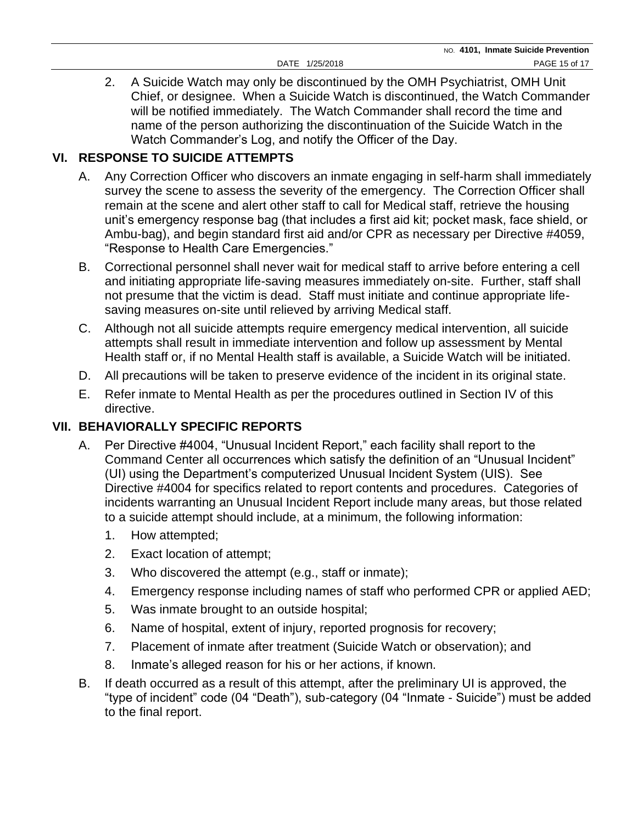# **VI. RESPONSE TO SUICIDE ATTEMPTS**

- A. Any Correction Officer who discovers an inmate engaging in self-harm shall immediately survey the scene to assess the severity of the emergency. The Correction Officer shall remain at the scene and alert other staff to call for Medical staff, retrieve the housing unit's emergency response bag (that includes a first aid kit; pocket mask, face shield, or Ambu-bag), and begin standard first aid and/or CPR as necessary per Directive #4059, "Response to Health Care Emergencies."
- B. Correctional personnel shall never wait for medical staff to arrive before entering a cell and initiating appropriate life-saving measures immediately on-site. Further, staff shall not presume that the victim is dead. Staff must initiate and continue appropriate lifesaving measures on-site until relieved by arriving Medical staff.
- C. Although not all suicide attempts require emergency medical intervention, all suicide attempts shall result in immediate intervention and follow up assessment by Mental Health staff or, if no Mental Health staff is available, a Suicide Watch will be initiated.
- D. All precautions will be taken to preserve evidence of the incident in its original state.
- E. Refer inmate to Mental Health as per the procedures outlined in Section IV of this directive.

## **VII. BEHAVIORALLY SPECIFIC REPORTS**

- A. Per Directive #4004, "Unusual Incident Report," each facility shall report to the Command Center all occurrences which satisfy the definition of an "Unusual Incident" (UI) using the Department's computerized Unusual Incident System (UIS). See Directive #4004 for specifics related to report contents and procedures. Categories of incidents warranting an Unusual Incident Report include many areas, but those related to a suicide attempt should include, at a minimum, the following information:
	- 1. How attempted;
	- 2. Exact location of attempt;
	- 3. Who discovered the attempt (e.g., staff or inmate);
	- 4. Emergency response including names of staff who performed CPR or applied AED;
	- 5. Was inmate brought to an outside hospital;
	- 6. Name of hospital, extent of injury, reported prognosis for recovery;
	- 7. Placement of inmate after treatment (Suicide Watch or observation); and
	- 8. Inmate's alleged reason for his or her actions, if known.
- B. If death occurred as a result of this attempt, after the preliminary UI is approved, the "type of incident" code (04 "Death"), sub-category (04 "Inmate - Suicide") must be added to the final report.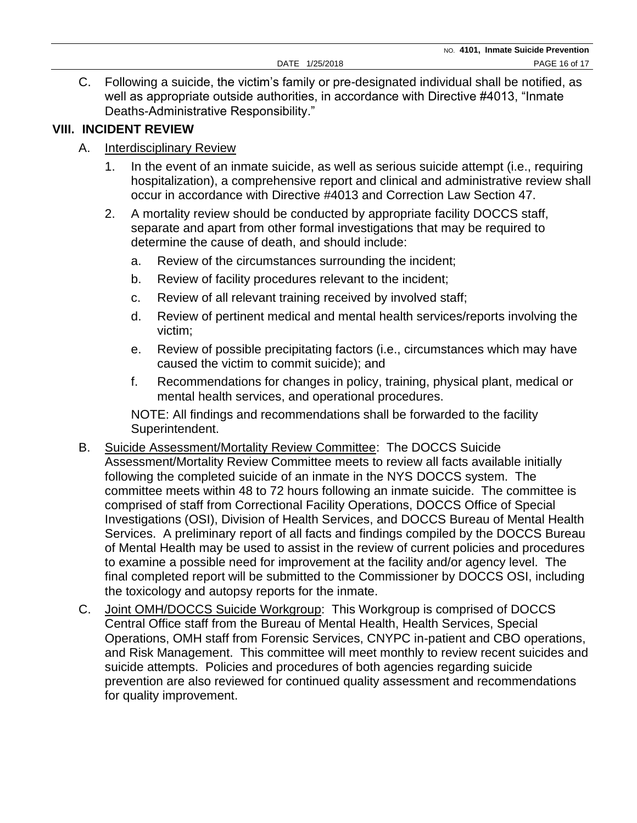C. Following a suicide, the victim's family or pre-designated individual shall be notified, as well as appropriate outside authorities, in accordance with Directive #4013, "Inmate Deaths-Administrative Responsibility."

## **VIII. INCIDENT REVIEW**

### A. Interdisciplinary Review

- 1. In the event of an inmate suicide, as well as serious suicide attempt (i.e., requiring hospitalization), a comprehensive report and clinical and administrative review shall occur in accordance with Directive #4013 and Correction Law Section 47.
- 2. A mortality review should be conducted by appropriate facility DOCCS staff, separate and apart from other formal investigations that may be required to determine the cause of death, and should include:
	- a. Review of the circumstances surrounding the incident;
	- b. Review of facility procedures relevant to the incident;
	- c. Review of all relevant training received by involved staff;
	- d. Review of pertinent medical and mental health services/reports involving the victim;
	- e. Review of possible precipitating factors (i.e., circumstances which may have caused the victim to commit suicide); and
	- f. Recommendations for changes in policy, training, physical plant, medical or mental health services, and operational procedures.

NOTE: All findings and recommendations shall be forwarded to the facility Superintendent.

- B. Suicide Assessment/Mortality Review Committee: The DOCCS Suicide Assessment/Mortality Review Committee meets to review all facts available initially following the completed suicide of an inmate in the NYS DOCCS system. The committee meets within 48 to 72 hours following an inmate suicide. The committee is comprised of staff from Correctional Facility Operations, DOCCS Office of Special Investigations (OSI), Division of Health Services, and DOCCS Bureau of Mental Health Services. A preliminary report of all facts and findings compiled by the DOCCS Bureau of Mental Health may be used to assist in the review of current policies and procedures to examine a possible need for improvement at the facility and/or agency level. The final completed report will be submitted to the Commissioner by DOCCS OSI, including the toxicology and autopsy reports for the inmate.
- C. Joint OMH/DOCCS Suicide Workgroup: This Workgroup is comprised of DOCCS Central Office staff from the Bureau of Mental Health, Health Services, Special Operations, OMH staff from Forensic Services, CNYPC in-patient and CBO operations, and Risk Management. This committee will meet monthly to review recent suicides and suicide attempts. Policies and procedures of both agencies regarding suicide prevention are also reviewed for continued quality assessment and recommendations for quality improvement.